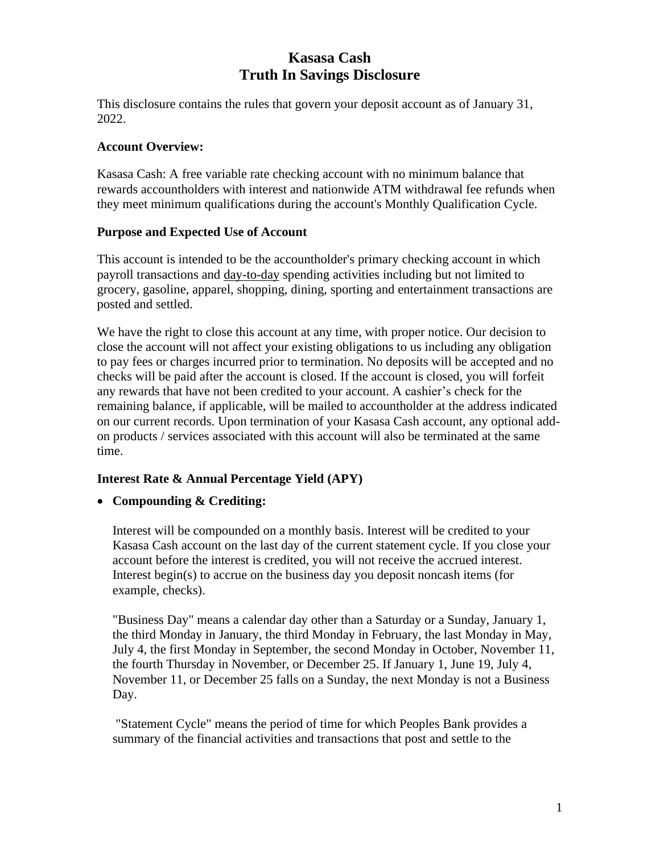# **Kasasa Cash Truth In Savings Disclosure**

This disclosure contains the rules that govern your deposit account as of January 31, 2022.

### **Account Overview:**

Kasasa Cash: A free variable rate checking account with no minimum balance that rewards accountholders with interest and nationwide ATM withdrawal fee refunds when they meet minimum qualifications during the account's Monthly Qualification Cycle.

#### **Purpose and Expected Use of Account**

This account is intended to be the accountholder's primary checking account in which payroll transactions and day-to-day spending activities including but not limited to grocery, gasoline, apparel, shopping, dining, sporting and entertainment transactions are posted and settled.

We have the right to close this account at any time, with proper notice. Our decision to close the account will not affect your existing obligations to us including any obligation to pay fees or charges incurred prior to termination. No deposits will be accepted and no checks will be paid after the account is closed. If the account is closed, you will forfeit any rewards that have not been credited to your account. A cashier's check for the remaining balance, if applicable, will be mailed to accountholder at the address indicated on our current records. Upon termination of your Kasasa Cash account, any optional addon products / services associated with this account will also be terminated at the same time.

## **Interest Rate & Annual Percentage Yield (APY)**

## • **Compounding & Crediting:**

Interest will be compounded on a monthly basis. Interest will be credited to your Kasasa Cash account on the last day of the current statement cycle. If you close your account before the interest is credited, you will not receive the accrued interest. Interest begin(s) to accrue on the business day you deposit noncash items (for example, checks).

"Business Day" means a calendar day other than a Saturday or a Sunday, January 1, the third Monday in January, the third Monday in February, the last Monday in May, July 4, the first Monday in September, the second Monday in October, November 11, the fourth Thursday in November, or December 25. If January 1, June 19, July 4, November 11, or December 25 falls on a Sunday, the next Monday is not a Business Day.

"Statement Cycle" means the period of time for which Peoples Bank provides a summary of the financial activities and transactions that post and settle to the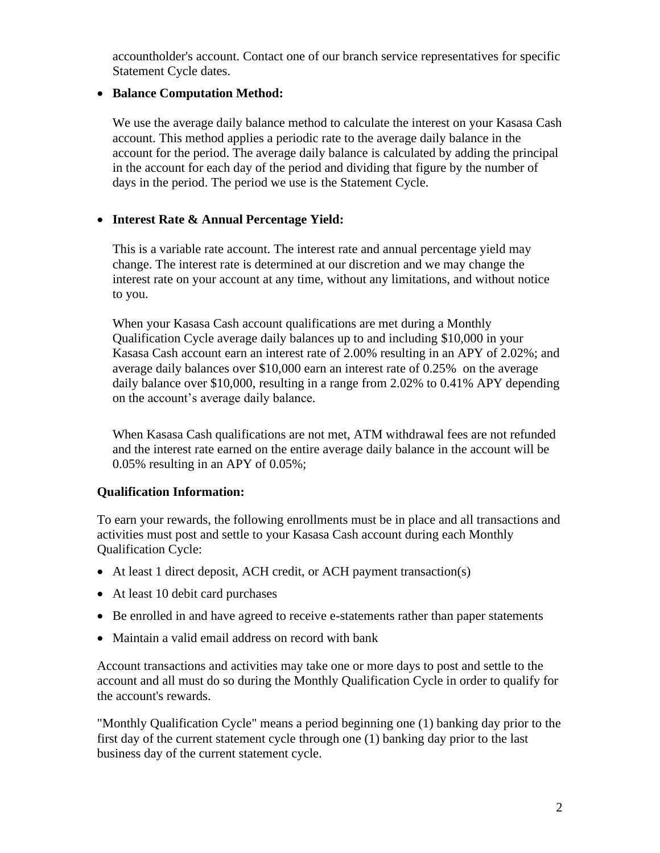accountholder's account. Contact one of our branch service representatives for specific Statement Cycle dates.

# • **Balance Computation Method:**

We use the average daily balance method to calculate the interest on your Kasasa Cash account. This method applies a periodic rate to the average daily balance in the account for the period. The average daily balance is calculated by adding the principal in the account for each day of the period and dividing that figure by the number of days in the period. The period we use is the Statement Cycle.

# • **Interest Rate & Annual Percentage Yield:**

This is a variable rate account. The interest rate and annual percentage yield may change. The interest rate is determined at our discretion and we may change the interest rate on your account at any time, without any limitations, and without notice to you.

When your Kasasa Cash account qualifications are met during a Monthly Qualification Cycle average daily balances up to and including \$10,000 in your Kasasa Cash account earn an interest rate of 2.00% resulting in an APY of 2.02%; and average daily balances over \$10,000 earn an interest rate of 0.25% on the average daily balance over \$10,000, resulting in a range from 2.02% to 0.41% APY depending on the account's average daily balance.

When Kasasa Cash qualifications are not met, ATM withdrawal fees are not refunded and the interest rate earned on the entire average daily balance in the account will be 0.05% resulting in an APY of 0.05%;

## **Qualification Information:**

To earn your rewards, the following enrollments must be in place and all transactions and activities must post and settle to your Kasasa Cash account during each Monthly Qualification Cycle:

- At least 1 direct deposit, ACH credit, or ACH payment transaction(s)
- At least 10 debit card purchases
- Be enrolled in and have agreed to receive e-statements rather than paper statements
- Maintain a valid email address on record with bank

Account transactions and activities may take one or more days to post and settle to the account and all must do so during the Monthly Qualification Cycle in order to qualify for the account's rewards.

"Monthly Qualification Cycle" means a period beginning one (1) banking day prior to the first day of the current statement cycle through one (1) banking day prior to the last business day of the current statement cycle.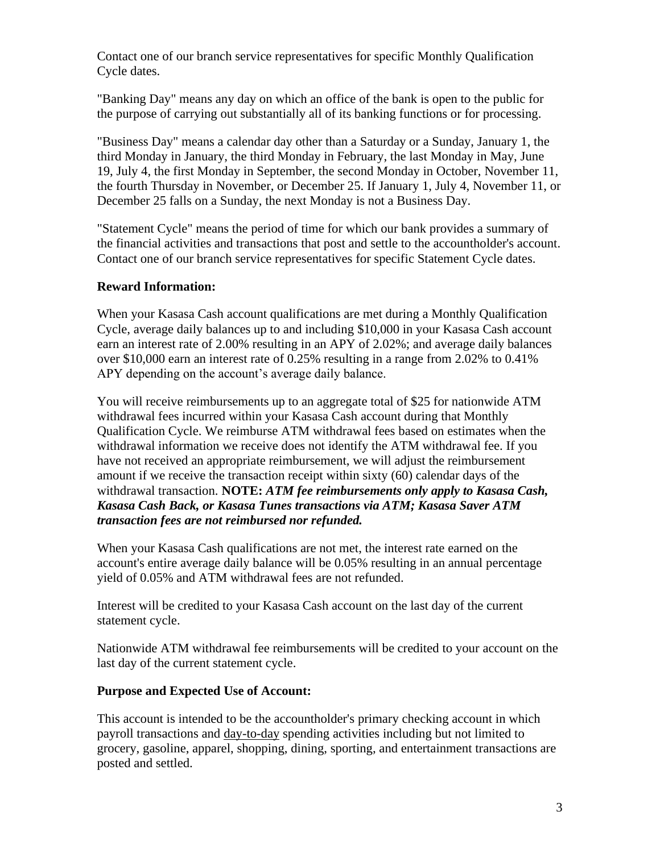Contact one of our branch service representatives for specific Monthly Qualification Cycle dates.

"Banking Day" means any day on which an office of the bank is open to the public for the purpose of carrying out substantially all of its banking functions or for processing.

"Business Day" means a calendar day other than a Saturday or a Sunday, January 1, the third Monday in January, the third Monday in February, the last Monday in May, June 19, July 4, the first Monday in September, the second Monday in October, November 11, the fourth Thursday in November, or December 25. If January 1, July 4, November 11, or December 25 falls on a Sunday, the next Monday is not a Business Day.

"Statement Cycle" means the period of time for which our bank provides a summary of the financial activities and transactions that post and settle to the accountholder's account. Contact one of our branch service representatives for specific Statement Cycle dates.

### **Reward Information:**

When your Kasasa Cash account qualifications are met during a Monthly Qualification Cycle, average daily balances up to and including \$10,000 in your Kasasa Cash account earn an interest rate of 2.00% resulting in an APY of 2.02%; and average daily balances over \$10,000 earn an interest rate of 0.25% resulting in a range from 2.02% to 0.41% APY depending on the account's average daily balance.

You will receive reimbursements up to an aggregate total of \$25 for nationwide ATM withdrawal fees incurred within your Kasasa Cash account during that Monthly Qualification Cycle. We reimburse ATM withdrawal fees based on estimates when the withdrawal information we receive does not identify the ATM withdrawal fee. If you have not received an appropriate reimbursement, we will adjust the reimbursement amount if we receive the transaction receipt within sixty (60) calendar days of the withdrawal transaction. **NOTE:** *ATM fee reimbursements only apply to Kasasa Cash, Kasasa Cash Back, or Kasasa Tunes transactions via ATM; Kasasa Saver ATM transaction fees are not reimbursed nor refunded.*

When your Kasasa Cash qualifications are not met, the interest rate earned on the account's entire average daily balance will be 0.05% resulting in an annual percentage yield of 0.05% and ATM withdrawal fees are not refunded.

Interest will be credited to your Kasasa Cash account on the last day of the current statement cycle.

Nationwide ATM withdrawal fee reimbursements will be credited to your account on the last day of the current statement cycle.

#### **Purpose and Expected Use of Account:**

This account is intended to be the accountholder's primary checking account in which payroll transactions and day-to-day spending activities including but not limited to grocery, gasoline, apparel, shopping, dining, sporting, and entertainment transactions are posted and settled.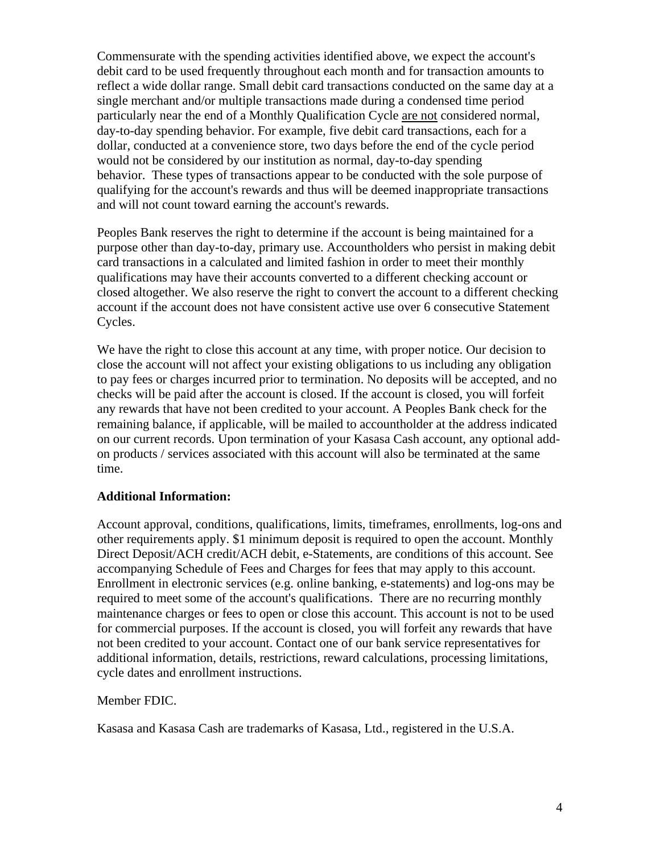Commensurate with the spending activities identified above, we expect the account's debit card to be used frequently throughout each month and for transaction amounts to reflect a wide dollar range. Small debit card transactions conducted on the same day at a single merchant and/or multiple transactions made during a condensed time period particularly near the end of a Monthly Qualification Cycle are not considered normal, day-to-day spending behavior. For example, five debit card transactions, each for a dollar, conducted at a convenience store, two days before the end of the cycle period would not be considered by our institution as normal, day-to-day spending behavior. These types of transactions appear to be conducted with the sole purpose of qualifying for the account's rewards and thus will be deemed inappropriate transactions and will not count toward earning the account's rewards.

Peoples Bank reserves the right to determine if the account is being maintained for a purpose other than day-to-day, primary use. Accountholders who persist in making debit card transactions in a calculated and limited fashion in order to meet their monthly qualifications may have their accounts converted to a different checking account or closed altogether. We also reserve the right to convert the account to a different checking account if the account does not have consistent active use over 6 consecutive Statement Cycles.

We have the right to close this account at any time, with proper notice. Our decision to close the account will not affect your existing obligations to us including any obligation to pay fees or charges incurred prior to termination. No deposits will be accepted, and no checks will be paid after the account is closed. If the account is closed, you will forfeit any rewards that have not been credited to your account. A Peoples Bank check for the remaining balance, if applicable, will be mailed to accountholder at the address indicated on our current records. Upon termination of your Kasasa Cash account, any optional addon products / services associated with this account will also be terminated at the same time.

#### **Additional Information:**

Account approval, conditions, qualifications, limits, timeframes, enrollments, log-ons and other requirements apply. \$1 minimum deposit is required to open the account. Monthly Direct Deposit/ACH credit/ACH debit, e-Statements, are conditions of this account. See accompanying Schedule of Fees and Charges for fees that may apply to this account. Enrollment in electronic services (e.g. online banking, e-statements) and log-ons may be required to meet some of the account's qualifications. There are no recurring monthly maintenance charges or fees to open or close this account. This account is not to be used for commercial purposes. If the account is closed, you will forfeit any rewards that have not been credited to your account. Contact one of our bank service representatives for additional information, details, restrictions, reward calculations, processing limitations, cycle dates and enrollment instructions.

#### Member FDIC.

Kasasa and Kasasa Cash are trademarks of Kasasa, Ltd., registered in the U.S.A.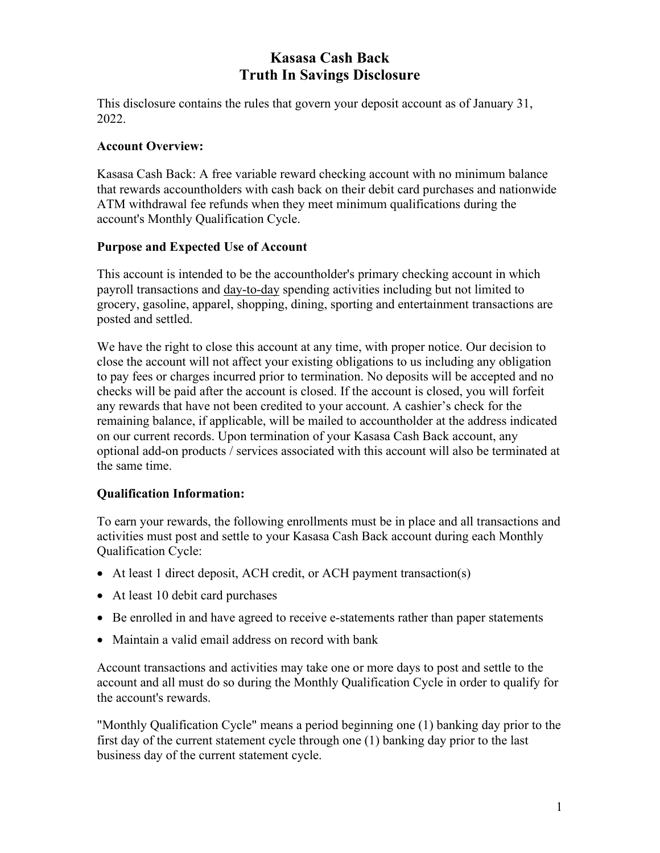# **Kasasa Cash Back Truth In Savings Disclosure**

This disclosure contains the rules that govern your deposit account as of January 31, 2022.

# **Account Overview:**

Kasasa Cash Back: A free variable reward checking account with no minimum balance that rewards accountholders with cash back on their debit card purchases and nationwide ATM withdrawal fee refunds when they meet minimum qualifications during the account's Monthly Qualification Cycle.

## **Purpose and Expected Use of Account**

This account is intended to be the accountholder's primary checking account in which payroll transactions and day-to-day spending activities including but not limited to grocery, gasoline, apparel, shopping, dining, sporting and entertainment transactions are posted and settled.

We have the right to close this account at any time, with proper notice. Our decision to close the account will not affect your existing obligations to us including any obligation to pay fees or charges incurred prior to termination. No deposits will be accepted and no checks will be paid after the account is closed. If the account is closed, you will forfeit any rewards that have not been credited to your account. A cashier's check for the remaining balance, if applicable, will be mailed to accountholder at the address indicated on our current records. Upon termination of your Kasasa Cash Back account, any optional add-on products / services associated with this account will also be terminated at the same time.

## **Qualification Information:**

To earn your rewards, the following enrollments must be in place and all transactions and activities must post and settle to your Kasasa Cash Back account during each Monthly Qualification Cycle:

- At least 1 direct deposit, ACH credit, or ACH payment transaction(s)
- At least 10 debit card purchases
- Be enrolled in and have agreed to receive e-statements rather than paper statements
- Maintain a valid email address on record with bank

Account transactions and activities may take one or more days to post and settle to the account and all must do so during the Monthly Qualification Cycle in order to qualify for the account's rewards.

"Monthly Qualification Cycle" means a period beginning one (1) banking day prior to the first day of the current statement cycle through one (1) banking day prior to the last business day of the current statement cycle.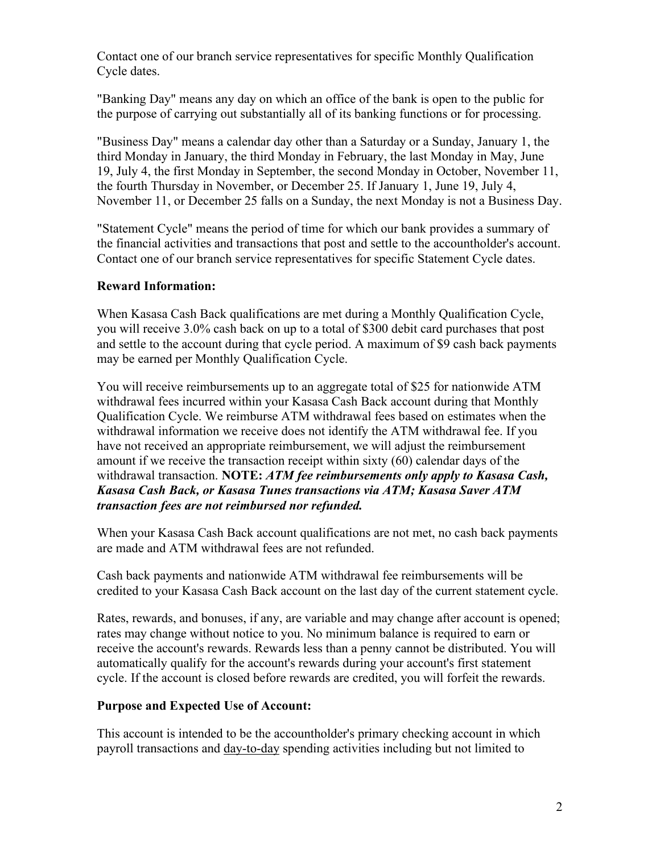Contact one of our branch service representatives for specific Monthly Qualification Cycle dates.

"Banking Day" means any day on which an office of the bank is open to the public for the purpose of carrying out substantially all of its banking functions or for processing.

"Business Day" means a calendar day other than a Saturday or a Sunday, January 1, the third Monday in January, the third Monday in February, the last Monday in May, June 19, July 4, the first Monday in September, the second Monday in October, November 11, the fourth Thursday in November, or December 25. If January 1, June 19, July 4, November 11, or December 25 falls on a Sunday, the next Monday is not a Business Day.

"Statement Cycle" means the period of time for which our bank provides a summary of the financial activities and transactions that post and settle to the accountholder's account. Contact one of our branch service representatives for specific Statement Cycle dates.

## **Reward Information:**

When Kasasa Cash Back qualifications are met during a Monthly Qualification Cycle, you will receive 3.0% cash back on up to a total of \$300 debit card purchases that post and settle to the account during that cycle period. A maximum of \$9 cash back payments may be earned per Monthly Qualification Cycle.

You will receive reimbursements up to an aggregate total of \$25 for nationwide ATM withdrawal fees incurred within your Kasasa Cash Back account during that Monthly Qualification Cycle. We reimburse ATM withdrawal fees based on estimates when the withdrawal information we receive does not identify the ATM withdrawal fee. If you have not received an appropriate reimbursement, we will adjust the reimbursement amount if we receive the transaction receipt within sixty (60) calendar days of the withdrawal transaction. **NOTE:** *ATM fee reimbursements only apply to Kasasa Cash, Kasasa Cash Back, or Kasasa Tunes transactions via ATM; Kasasa Saver ATM transaction fees are not reimbursed nor refunded.*

When your Kasasa Cash Back account qualifications are not met, no cash back payments are made and ATM withdrawal fees are not refunded.

Cash back payments and nationwide ATM withdrawal fee reimbursements will be credited to your Kasasa Cash Back account on the last day of the current statement cycle.

Rates, rewards, and bonuses, if any, are variable and may change after account is opened; rates may change without notice to you. No minimum balance is required to earn or receive the account's rewards. Rewards less than a penny cannot be distributed. You will automatically qualify for the account's rewards during your account's first statement cycle. If the account is closed before rewards are credited, you will forfeit the rewards.

## **Purpose and Expected Use of Account:**

This account is intended to be the accountholder's primary checking account in which payroll transactions and day-to-day spending activities including but not limited to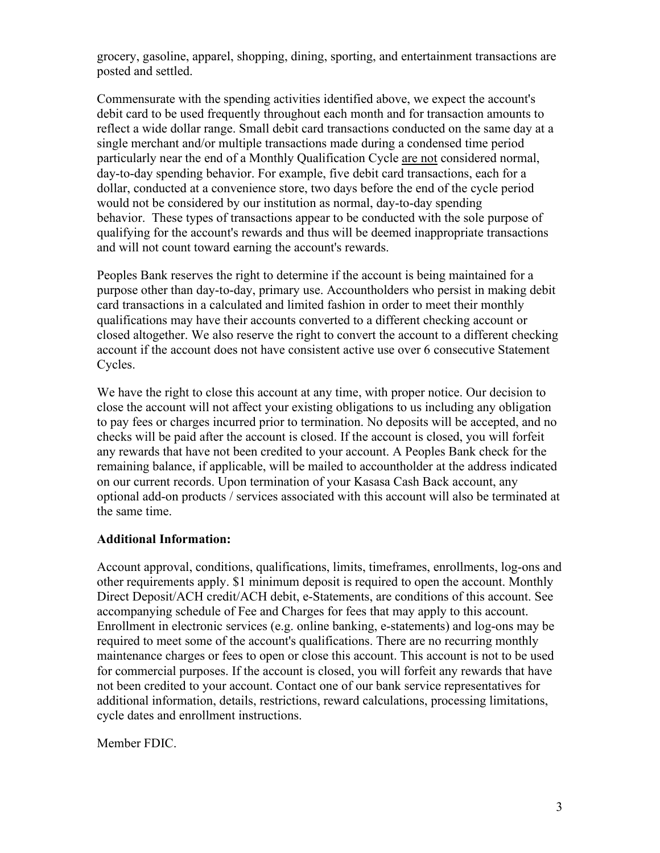grocery, gasoline, apparel, shopping, dining, sporting, and entertainment transactions are posted and settled.

Commensurate with the spending activities identified above, we expect the account's debit card to be used frequently throughout each month and for transaction amounts to reflect a wide dollar range. Small debit card transactions conducted on the same day at a single merchant and/or multiple transactions made during a condensed time period particularly near the end of a Monthly Qualification Cycle are not considered normal, day-to-day spending behavior. For example, five debit card transactions, each for a dollar, conducted at a convenience store, two days before the end of the cycle period would not be considered by our institution as normal, day-to-day spending behavior. These types of transactions appear to be conducted with the sole purpose of qualifying for the account's rewards and thus will be deemed inappropriate transactions and will not count toward earning the account's rewards.

Peoples Bank reserves the right to determine if the account is being maintained for a purpose other than day-to-day, primary use. Accountholders who persist in making debit card transactions in a calculated and limited fashion in order to meet their monthly qualifications may have their accounts converted to a different checking account or closed altogether. We also reserve the right to convert the account to a different checking account if the account does not have consistent active use over 6 consecutive Statement Cycles.

We have the right to close this account at any time, with proper notice. Our decision to close the account will not affect your existing obligations to us including any obligation to pay fees or charges incurred prior to termination. No deposits will be accepted, and no checks will be paid after the account is closed. If the account is closed, you will forfeit any rewards that have not been credited to your account. A Peoples Bank check for the remaining balance, if applicable, will be mailed to accountholder at the address indicated on our current records. Upon termination of your Kasasa Cash Back account, any optional add-on products / services associated with this account will also be terminated at the same time.

#### **Additional Information:**

Account approval, conditions, qualifications, limits, timeframes, enrollments, log-ons and other requirements apply. \$1 minimum deposit is required to open the account. Monthly Direct Deposit/ACH credit/ACH debit, e-Statements, are conditions of this account. See accompanying schedule of Fee and Charges for fees that may apply to this account. Enrollment in electronic services (e.g. online banking, e-statements) and log-ons may be required to meet some of the account's qualifications. There are no recurring monthly maintenance charges or fees to open or close this account. This account is not to be used for commercial purposes. If the account is closed, you will forfeit any rewards that have not been credited to your account. Contact one of our bank service representatives for additional information, details, restrictions, reward calculations, processing limitations, cycle dates and enrollment instructions.

Member FDIC.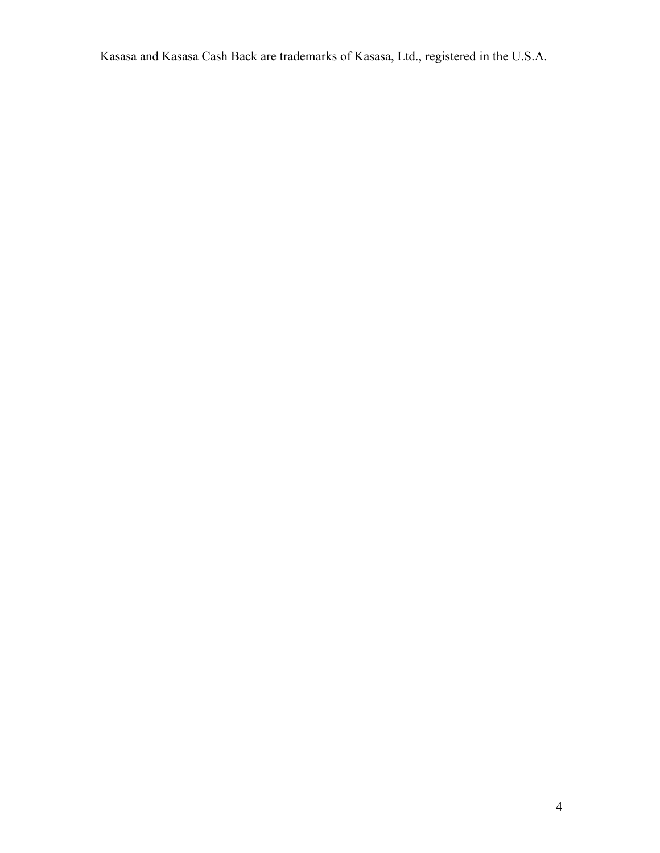Kasasa and Kasasa Cash Back are trademarks of Kasasa, Ltd., registered in the U.S.A.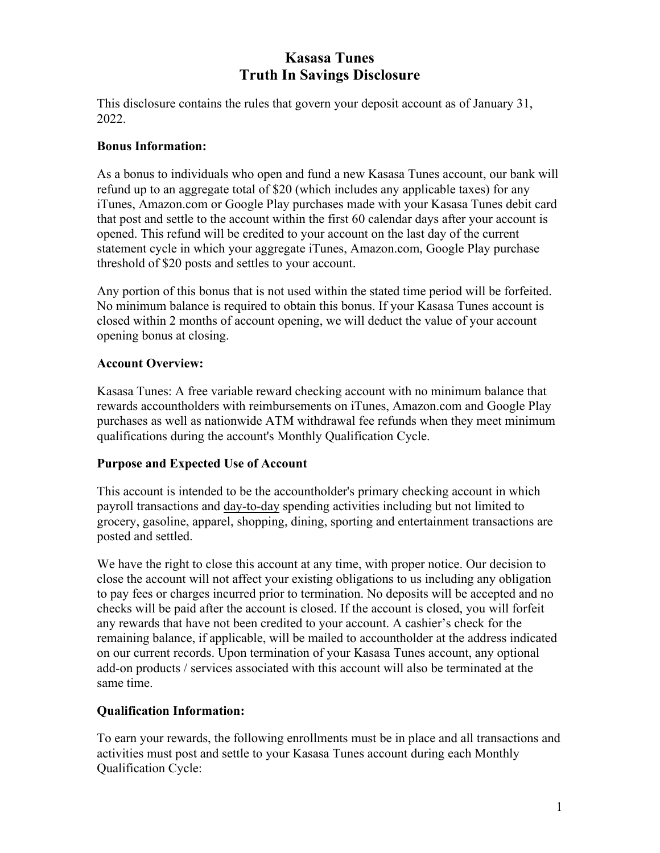# **Kasasa Tunes Truth In Savings Disclosure**

This disclosure contains the rules that govern your deposit account as of January 31, 2022.

# **Bonus Information:**

As a bonus to individuals who open and fund a new Kasasa Tunes account, our bank will refund up to an aggregate total of \$20 (which includes any applicable taxes) for any iTunes, Amazon.com or Google Play purchases made with your Kasasa Tunes debit card that post and settle to the account within the first 60 calendar days after your account is opened. This refund will be credited to your account on the last day of the current statement cycle in which your aggregate iTunes, Amazon.com, Google Play purchase threshold of \$20 posts and settles to your account.

Any portion of this bonus that is not used within the stated time period will be forfeited. No minimum balance is required to obtain this bonus. If your Kasasa Tunes account is closed within 2 months of account opening, we will deduct the value of your account opening bonus at closing.

# **Account Overview:**

Kasasa Tunes: A free variable reward checking account with no minimum balance that rewards accountholders with reimbursements on iTunes, Amazon.com and Google Play purchases as well as nationwide ATM withdrawal fee refunds when they meet minimum qualifications during the account's Monthly Qualification Cycle.

## **Purpose and Expected Use of Account**

This account is intended to be the accountholder's primary checking account in which payroll transactions and day-to-day spending activities including but not limited to grocery, gasoline, apparel, shopping, dining, sporting and entertainment transactions are posted and settled.

We have the right to close this account at any time, with proper notice. Our decision to close the account will not affect your existing obligations to us including any obligation to pay fees or charges incurred prior to termination. No deposits will be accepted and no checks will be paid after the account is closed. If the account is closed, you will forfeit any rewards that have not been credited to your account. A cashier's check for the remaining balance, if applicable, will be mailed to accountholder at the address indicated on our current records. Upon termination of your Kasasa Tunes account, any optional add-on products / services associated with this account will also be terminated at the same time.

# **Qualification Information:**

To earn your rewards, the following enrollments must be in place and all transactions and activities must post and settle to your Kasasa Tunes account during each Monthly Qualification Cycle: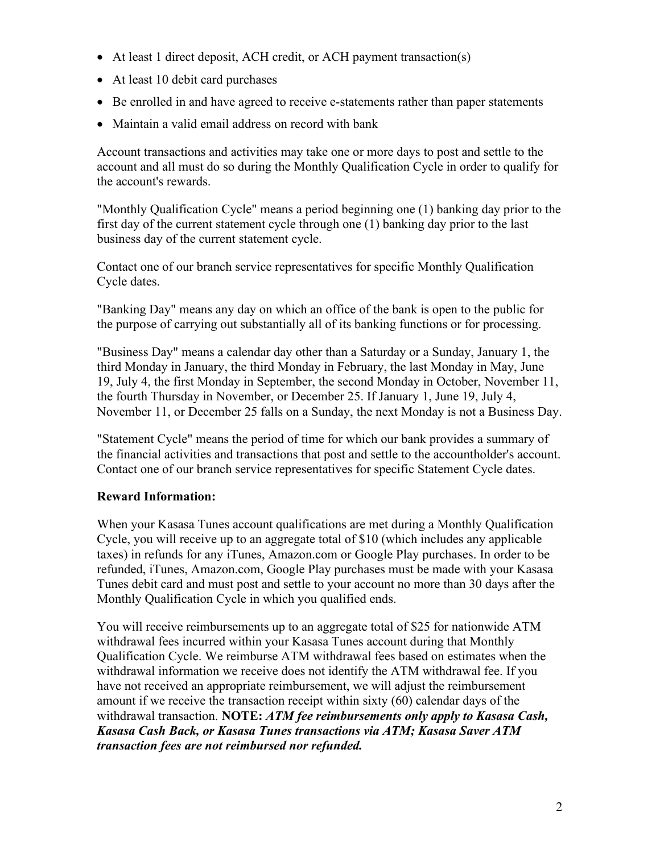- At least 1 direct deposit, ACH credit, or ACH payment transaction(s)
- At least 10 debit card purchases
- Be enrolled in and have agreed to receive e-statements rather than paper statements
- Maintain a valid email address on record with bank

Account transactions and activities may take one or more days to post and settle to the account and all must do so during the Monthly Qualification Cycle in order to qualify for the account's rewards.

"Monthly Qualification Cycle" means a period beginning one (1) banking day prior to the first day of the current statement cycle through one (1) banking day prior to the last business day of the current statement cycle.

Contact one of our branch service representatives for specific Monthly Qualification Cycle dates.

"Banking Day" means any day on which an office of the bank is open to the public for the purpose of carrying out substantially all of its banking functions or for processing.

"Business Day" means a calendar day other than a Saturday or a Sunday, January 1, the third Monday in January, the third Monday in February, the last Monday in May, June 19, July 4, the first Monday in September, the second Monday in October, November 11, the fourth Thursday in November, or December 25. If January 1, June 19, July 4, November 11, or December 25 falls on a Sunday, the next Monday is not a Business Day.

"Statement Cycle" means the period of time for which our bank provides a summary of the financial activities and transactions that post and settle to the accountholder's account. Contact one of our branch service representatives for specific Statement Cycle dates.

# **Reward Information:**

When your Kasasa Tunes account qualifications are met during a Monthly Qualification Cycle, you will receive up to an aggregate total of \$10 (which includes any applicable taxes) in refunds for any iTunes, Amazon.com or Google Play purchases. In order to be refunded, iTunes, Amazon.com, Google Play purchases must be made with your Kasasa Tunes debit card and must post and settle to your account no more than 30 days after the Monthly Qualification Cycle in which you qualified ends.

You will receive reimbursements up to an aggregate total of \$25 for nationwide ATM withdrawal fees incurred within your Kasasa Tunes account during that Monthly Qualification Cycle. We reimburse ATM withdrawal fees based on estimates when the withdrawal information we receive does not identify the ATM withdrawal fee. If you have not received an appropriate reimbursement, we will adjust the reimbursement amount if we receive the transaction receipt within sixty (60) calendar days of the withdrawal transaction. **NOTE:** *ATM fee reimbursements only apply to Kasasa Cash, Kasasa Cash Back, or Kasasa Tunes transactions via ATM; Kasasa Saver ATM transaction fees are not reimbursed nor refunded.*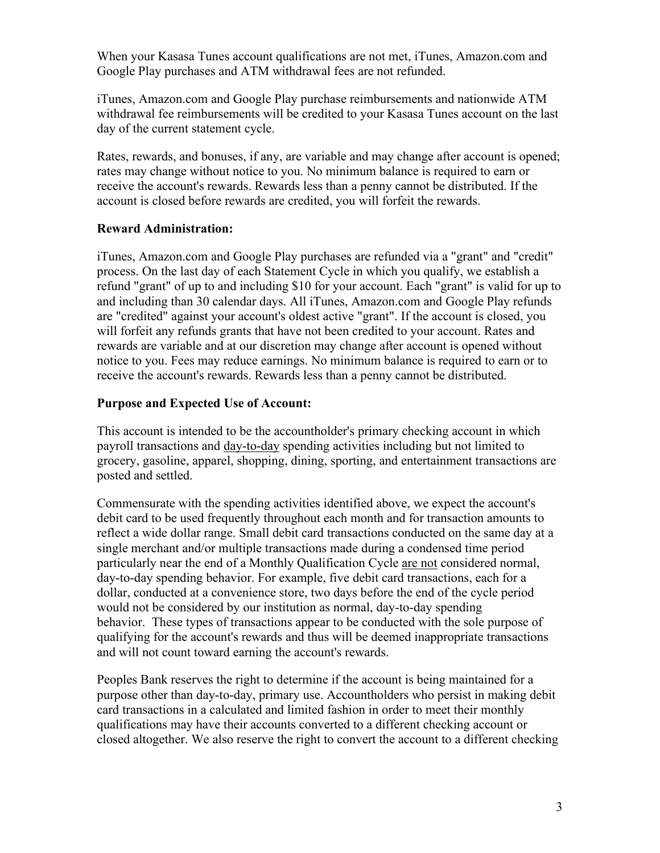When your Kasasa Tunes account qualifications are not met, iTunes, Amazon.com and Google Play purchases and ATM withdrawal fees are not refunded.

iTunes, Amazon.com and Google Play purchase reimbursements and nationwide ATM withdrawal fee reimbursements will be credited to your Kasasa Tunes account on the last day of the current statement cycle.

Rates, rewards, and bonuses, if any, are variable and may change after account is opened; rates may change without notice to you. No minimum balance is required to earn or receive the account's rewards. Rewards less than a penny cannot be distributed. If the account is closed before rewards are credited, you will forfeit the rewards.

### **Reward Administration:**

iTunes, Amazon.com and Google Play purchases are refunded via a "grant" and "credit" process. On the last day of each Statement Cycle in which you qualify, we establish a refund "grant" of up to and including \$10 for your account. Each "grant" is valid for up to and including than 30 calendar days. All iTunes, Amazon.com and Google Play refunds are "credited" against your account's oldest active "grant". If the account is closed, you will forfeit any refunds grants that have not been credited to your account. Rates and rewards are variable and at our discretion may change after account is opened without notice to you. Fees may reduce earnings. No minimum balance is required to earn or to receive the account's rewards. Rewards less than a penny cannot be distributed.

## **Purpose and Expected Use of Account:**

This account is intended to be the accountholder's primary checking account in which payroll transactions and day-to-day spending activities including but not limited to grocery, gasoline, apparel, shopping, dining, sporting, and entertainment transactions are posted and settled.

Commensurate with the spending activities identified above, we expect the account's debit card to be used frequently throughout each month and for transaction amounts to reflect a wide dollar range. Small debit card transactions conducted on the same day at a single merchant and/or multiple transactions made during a condensed time period particularly near the end of a Monthly Qualification Cycle are not considered normal, day-to-day spending behavior. For example, five debit card transactions, each for a dollar, conducted at a convenience store, two days before the end of the cycle period would not be considered by our institution as normal, day-to-day spending behavior. These types of transactions appear to be conducted with the sole purpose of qualifying for the account's rewards and thus will be deemed inappropriate transactions and will not count toward earning the account's rewards.

Peoples Bank reserves the right to determine if the account is being maintained for a purpose other than day-to-day, primary use. Accountholders who persist in making debit card transactions in a calculated and limited fashion in order to meet their monthly qualifications may have their accounts converted to a different checking account or closed altogether. We also reserve the right to convert the account to a different checking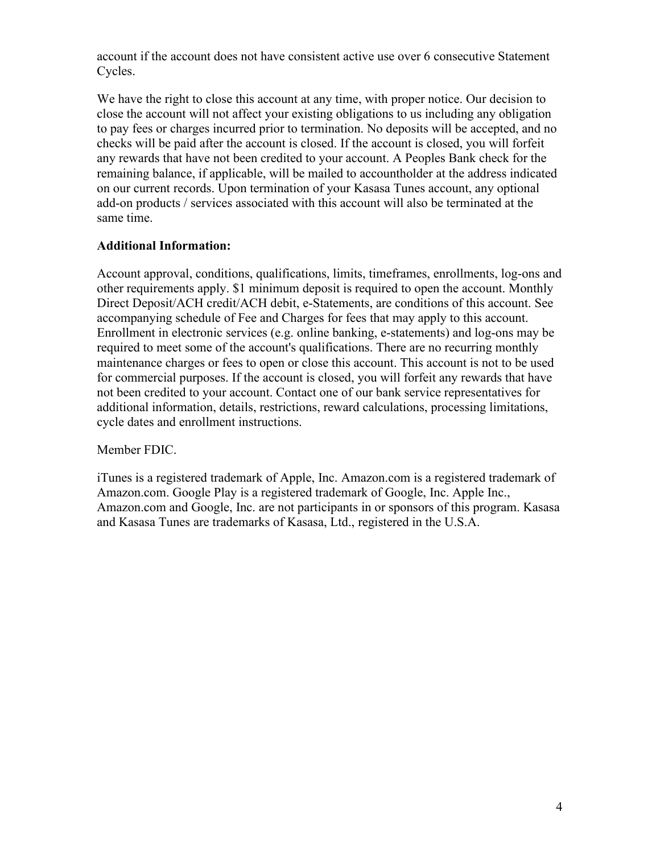account if the account does not have consistent active use over 6 consecutive Statement Cycles.

We have the right to close this account at any time, with proper notice. Our decision to close the account will not affect your existing obligations to us including any obligation to pay fees or charges incurred prior to termination. No deposits will be accepted, and no checks will be paid after the account is closed. If the account is closed, you will forfeit any rewards that have not been credited to your account. A Peoples Bank check for the remaining balance, if applicable, will be mailed to accountholder at the address indicated on our current records. Upon termination of your Kasasa Tunes account, any optional add-on products / services associated with this account will also be terminated at the same time.

# **Additional Information:**

Account approval, conditions, qualifications, limits, timeframes, enrollments, log-ons and other requirements apply. \$1 minimum deposit is required to open the account. Monthly Direct Deposit/ACH credit/ACH debit, e-Statements, are conditions of this account. See accompanying schedule of Fee and Charges for fees that may apply to this account. Enrollment in electronic services (e.g. online banking, e-statements) and log-ons may be required to meet some of the account's qualifications. There are no recurring monthly maintenance charges or fees to open or close this account. This account is not to be used for commercial purposes. If the account is closed, you will forfeit any rewards that have not been credited to your account. Contact one of our bank service representatives for additional information, details, restrictions, reward calculations, processing limitations, cycle dates and enrollment instructions.

Member FDIC.

iTunes is a registered trademark of Apple, Inc. Amazon.com is a registered trademark of Amazon.com. Google Play is a registered trademark of Google, Inc. Apple Inc., Amazon.com and Google, Inc. are not participants in or sponsors of this program. Kasasa and Kasasa Tunes are trademarks of Kasasa, Ltd., registered in the U.S.A.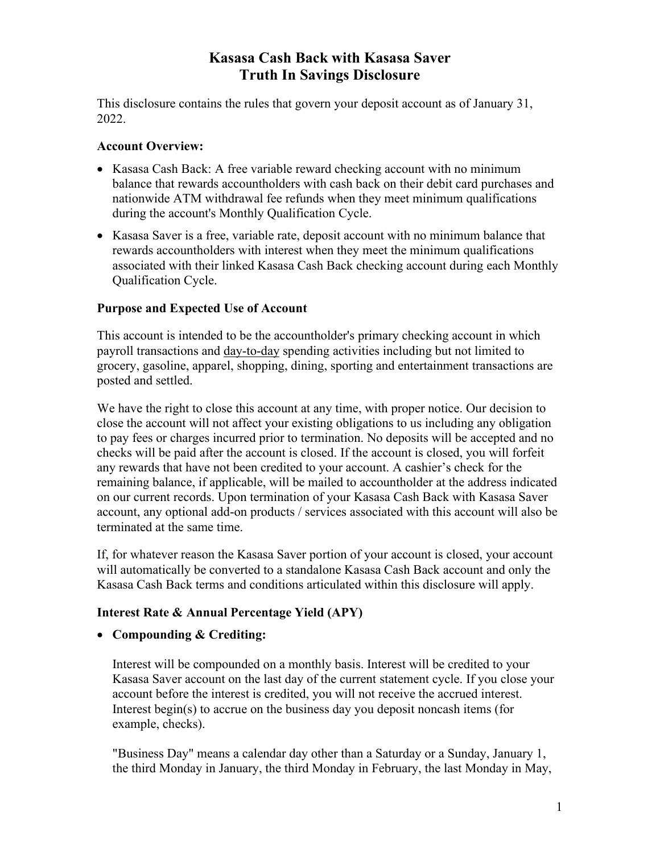# **Kasasa Cash Back with Kasasa Saver Truth In Savings Disclosure**

This disclosure contains the rules that govern your deposit account as of January 31, 2022.

# **Account Overview:**

- Kasasa Cash Back: A free variable reward checking account with no minimum balance that rewards accountholders with cash back on their debit card purchases and nationwide ATM withdrawal fee refunds when they meet minimum qualifications during the account's Monthly Qualification Cycle.
- Kasasa Saver is a free, variable rate, deposit account with no minimum balance that rewards accountholders with interest when they meet the minimum qualifications associated with their linked Kasasa Cash Back checking account during each Monthly Qualification Cycle.

# **Purpose and Expected Use of Account**

This account is intended to be the accountholder's primary checking account in which payroll transactions and day-to-day spending activities including but not limited to grocery, gasoline, apparel, shopping, dining, sporting and entertainment transactions are posted and settled.

We have the right to close this account at any time, with proper notice. Our decision to close the account will not affect your existing obligations to us including any obligation to pay fees or charges incurred prior to termination. No deposits will be accepted and no checks will be paid after the account is closed. If the account is closed, you will forfeit any rewards that have not been credited to your account. A cashier's check for the remaining balance, if applicable, will be mailed to accountholder at the address indicated on our current records. Upon termination of your Kasasa Cash Back with Kasasa Saver account, any optional add-on products / services associated with this account will also be terminated at the same time.

If, for whatever reason the Kasasa Saver portion of your account is closed, your account will automatically be converted to a standalone Kasasa Cash Back account and only the Kasasa Cash Back terms and conditions articulated within this disclosure will apply.

# **Interest Rate & Annual Percentage Yield (APY)**

## • **Compounding & Crediting:**

Interest will be compounded on a monthly basis. Interest will be credited to your Kasasa Saver account on the last day of the current statement cycle. If you close your account before the interest is credited, you will not receive the accrued interest. Interest begin(s) to accrue on the business day you deposit noncash items (for example, checks).

"Business Day" means a calendar day other than a Saturday or a Sunday, January 1, the third Monday in January, the third Monday in February, the last Monday in May,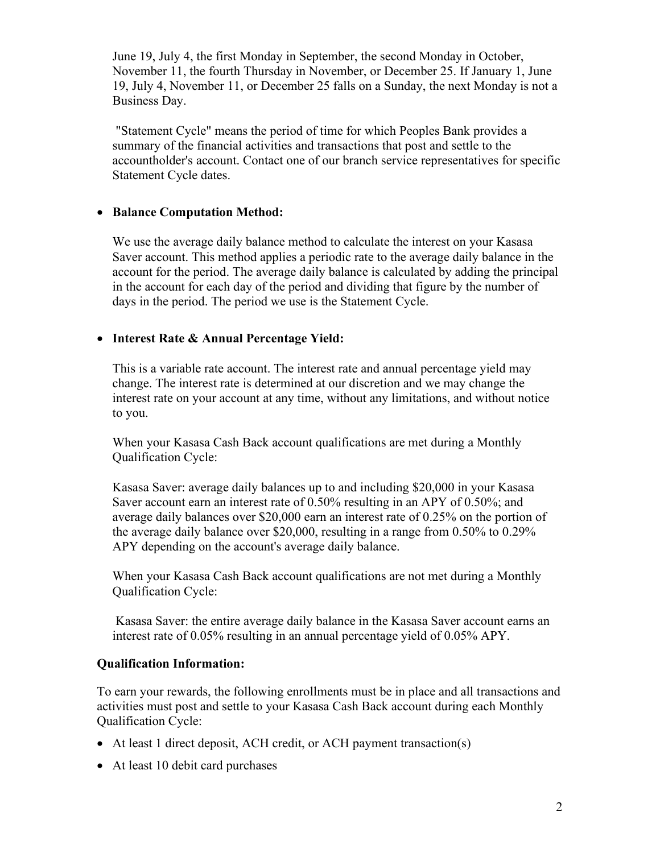June 19, July 4, the first Monday in September, the second Monday in October, November 11, the fourth Thursday in November, or December 25. If January 1, June 19, July 4, November 11, or December 25 falls on a Sunday, the next Monday is not a Business Day.

"Statement Cycle" means the period of time for which Peoples Bank provides a summary of the financial activities and transactions that post and settle to the accountholder's account. Contact one of our branch service representatives for specific Statement Cycle dates.

# • **Balance Computation Method:**

We use the average daily balance method to calculate the interest on your Kasasa Saver account. This method applies a periodic rate to the average daily balance in the account for the period. The average daily balance is calculated by adding the principal in the account for each day of the period and dividing that figure by the number of days in the period. The period we use is the Statement Cycle.

# • **Interest Rate & Annual Percentage Yield:**

This is a variable rate account. The interest rate and annual percentage yield may change. The interest rate is determined at our discretion and we may change the interest rate on your account at any time, without any limitations, and without notice to you.

When your Kasasa Cash Back account qualifications are met during a Monthly Qualification Cycle:

Kasasa Saver: average daily balances up to and including \$20,000 in your Kasasa Saver account earn an interest rate of 0.50% resulting in an APY of 0.50%; and average daily balances over \$20,000 earn an interest rate of 0.25% on the portion of the average daily balance over \$20,000, resulting in a range from 0.50% to 0.29% APY depending on the account's average daily balance.

When your Kasasa Cash Back account qualifications are not met during a Monthly Qualification Cycle:

Kasasa Saver: the entire average daily balance in the Kasasa Saver account earns an interest rate of 0.05% resulting in an annual percentage yield of 0.05% APY.

## **Qualification Information:**

To earn your rewards, the following enrollments must be in place and all transactions and activities must post and settle to your Kasasa Cash Back account during each Monthly Qualification Cycle:

- At least 1 direct deposit, ACH credit, or ACH payment transaction(s)
- At least 10 debit card purchases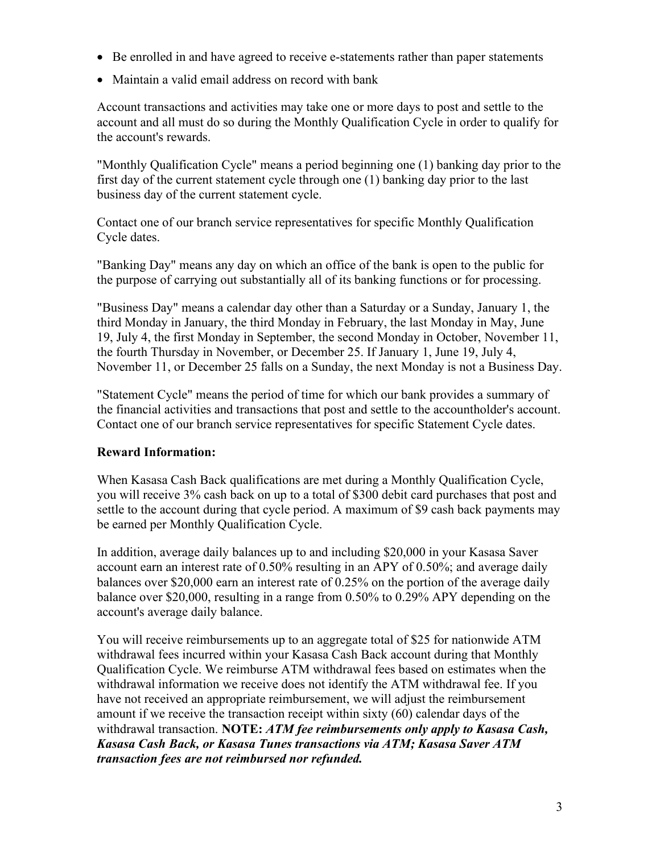- Be enrolled in and have agreed to receive e-statements rather than paper statements
- Maintain a valid email address on record with bank

Account transactions and activities may take one or more days to post and settle to the account and all must do so during the Monthly Qualification Cycle in order to qualify for the account's rewards.

"Monthly Qualification Cycle" means a period beginning one (1) banking day prior to the first day of the current statement cycle through one (1) banking day prior to the last business day of the current statement cycle.

Contact one of our branch service representatives for specific Monthly Qualification Cycle dates.

"Banking Day" means any day on which an office of the bank is open to the public for the purpose of carrying out substantially all of its banking functions or for processing.

"Business Day" means a calendar day other than a Saturday or a Sunday, January 1, the third Monday in January, the third Monday in February, the last Monday in May, June 19, July 4, the first Monday in September, the second Monday in October, November 11, the fourth Thursday in November, or December 25. If January 1, June 19, July 4, November 11, or December 25 falls on a Sunday, the next Monday is not a Business Day.

"Statement Cycle" means the period of time for which our bank provides a summary of the financial activities and transactions that post and settle to the accountholder's account. Contact one of our branch service representatives for specific Statement Cycle dates.

# **Reward Information:**

When Kasasa Cash Back qualifications are met during a Monthly Qualification Cycle, you will receive 3% cash back on up to a total of \$300 debit card purchases that post and settle to the account during that cycle period. A maximum of \$9 cash back payments may be earned per Monthly Qualification Cycle.

In addition, average daily balances up to and including \$20,000 in your Kasasa Saver account earn an interest rate of 0.50% resulting in an APY of 0.50%; and average daily balances over \$20,000 earn an interest rate of 0.25% on the portion of the average daily balance over \$20,000, resulting in a range from 0.50% to 0.29% APY depending on the account's average daily balance.

You will receive reimbursements up to an aggregate total of \$25 for nationwide ATM withdrawal fees incurred within your Kasasa Cash Back account during that Monthly Qualification Cycle. We reimburse ATM withdrawal fees based on estimates when the withdrawal information we receive does not identify the ATM withdrawal fee. If you have not received an appropriate reimbursement, we will adjust the reimbursement amount if we receive the transaction receipt within sixty (60) calendar days of the withdrawal transaction. **NOTE:** *ATM fee reimbursements only apply to Kasasa Cash, Kasasa Cash Back, or Kasasa Tunes transactions via ATM; Kasasa Saver ATM transaction fees are not reimbursed nor refunded.*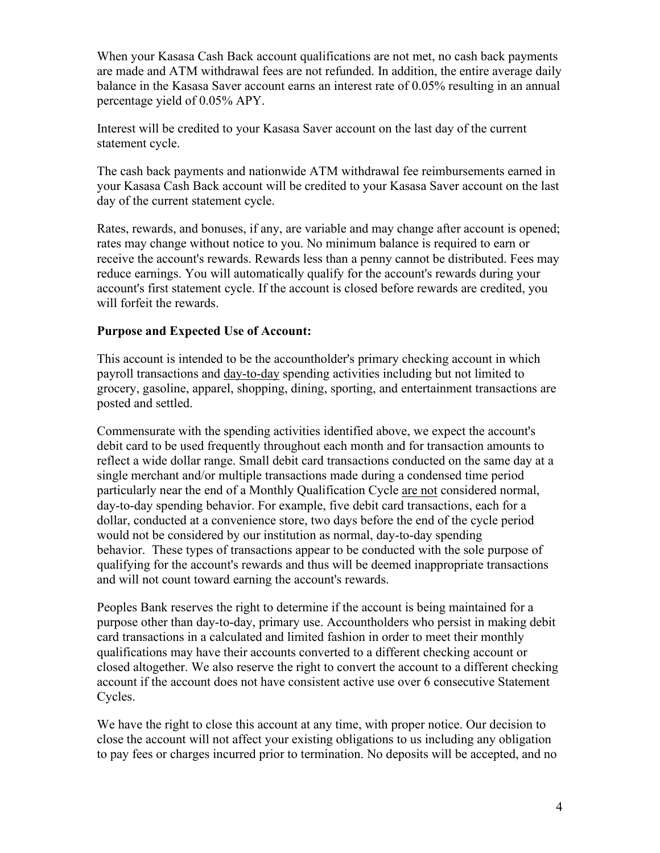When your Kasasa Cash Back account qualifications are not met, no cash back payments are made and ATM withdrawal fees are not refunded. In addition, the entire average daily balance in the Kasasa Saver account earns an interest rate of 0.05% resulting in an annual percentage yield of 0.05% APY.

Interest will be credited to your Kasasa Saver account on the last day of the current statement cycle.

The cash back payments and nationwide ATM withdrawal fee reimbursements earned in your Kasasa Cash Back account will be credited to your Kasasa Saver account on the last day of the current statement cycle.

Rates, rewards, and bonuses, if any, are variable and may change after account is opened; rates may change without notice to you. No minimum balance is required to earn or receive the account's rewards. Rewards less than a penny cannot be distributed. Fees may reduce earnings. You will automatically qualify for the account's rewards during your account's first statement cycle. If the account is closed before rewards are credited, you will forfeit the rewards.

## **Purpose and Expected Use of Account:**

This account is intended to be the accountholder's primary checking account in which payroll transactions and day-to-day spending activities including but not limited to grocery, gasoline, apparel, shopping, dining, sporting, and entertainment transactions are posted and settled.

Commensurate with the spending activities identified above, we expect the account's debit card to be used frequently throughout each month and for transaction amounts to reflect a wide dollar range. Small debit card transactions conducted on the same day at a single merchant and/or multiple transactions made during a condensed time period particularly near the end of a Monthly Qualification Cycle are not considered normal, day-to-day spending behavior. For example, five debit card transactions, each for a dollar, conducted at a convenience store, two days before the end of the cycle period would not be considered by our institution as normal, day-to-day spending behavior. These types of transactions appear to be conducted with the sole purpose of qualifying for the account's rewards and thus will be deemed inappropriate transactions and will not count toward earning the account's rewards.

Peoples Bank reserves the right to determine if the account is being maintained for a purpose other than day-to-day, primary use. Accountholders who persist in making debit card transactions in a calculated and limited fashion in order to meet their monthly qualifications may have their accounts converted to a different checking account or closed altogether. We also reserve the right to convert the account to a different checking account if the account does not have consistent active use over 6 consecutive Statement Cycles.

We have the right to close this account at any time, with proper notice. Our decision to close the account will not affect your existing obligations to us including any obligation to pay fees or charges incurred prior to termination. No deposits will be accepted, and no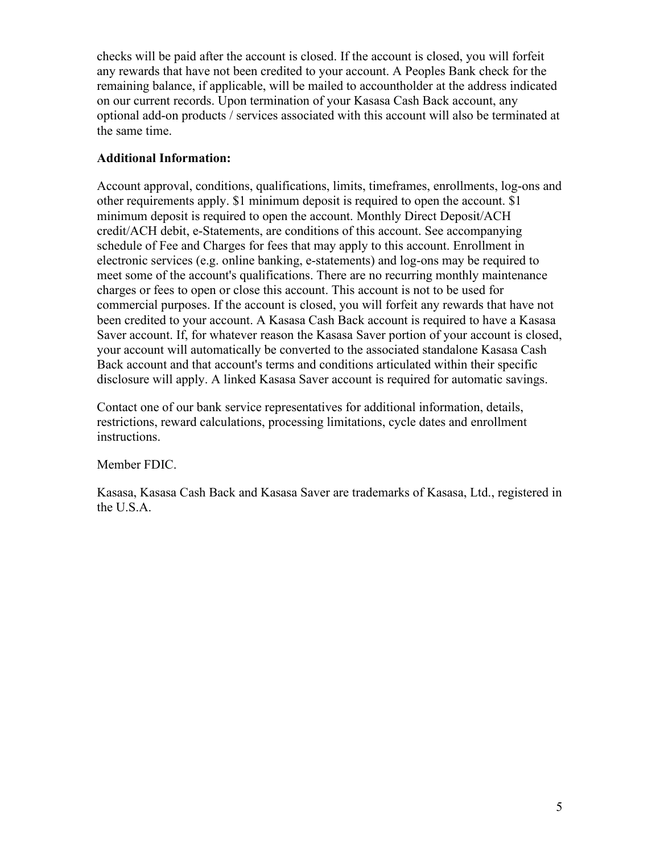checks will be paid after the account is closed. If the account is closed, you will forfeit any rewards that have not been credited to your account. A Peoples Bank check for the remaining balance, if applicable, will be mailed to accountholder at the address indicated on our current records. Upon termination of your Kasasa Cash Back account, any optional add-on products / services associated with this account will also be terminated at the same time.

# **Additional Information:**

Account approval, conditions, qualifications, limits, timeframes, enrollments, log-ons and other requirements apply. \$1 minimum deposit is required to open the account. \$1 minimum deposit is required to open the account. Monthly Direct Deposit/ACH credit/ACH debit, e-Statements, are conditions of this account. See accompanying schedule of Fee and Charges for fees that may apply to this account. Enrollment in electronic services (e.g. online banking, e-statements) and log-ons may be required to meet some of the account's qualifications. There are no recurring monthly maintenance charges or fees to open or close this account. This account is not to be used for commercial purposes. If the account is closed, you will forfeit any rewards that have not been credited to your account. A Kasasa Cash Back account is required to have a Kasasa Saver account. If, for whatever reason the Kasasa Saver portion of your account is closed, your account will automatically be converted to the associated standalone Kasasa Cash Back account and that account's terms and conditions articulated within their specific disclosure will apply. A linked Kasasa Saver account is required for automatic savings.

Contact one of our bank service representatives for additional information, details, restrictions, reward calculations, processing limitations, cycle dates and enrollment instructions.

Member FDIC.

Kasasa, Kasasa Cash Back and Kasasa Saver are trademarks of Kasasa, Ltd., registered in the U.S.A.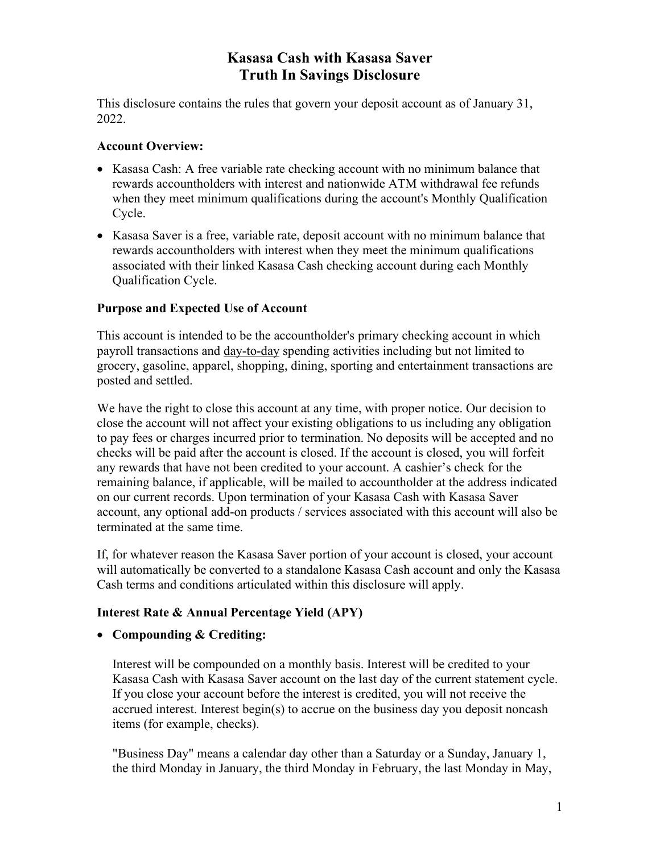# **Kasasa Cash with Kasasa Saver Truth In Savings Disclosure**

This disclosure contains the rules that govern your deposit account as of January 31, 2022.

### **Account Overview:**

- Kasasa Cash: A free variable rate checking account with no minimum balance that rewards accountholders with interest and nationwide ATM withdrawal fee refunds when they meet minimum qualifications during the account's Monthly Qualification Cycle.
- Kasasa Saver is a free, variable rate, deposit account with no minimum balance that rewards accountholders with interest when they meet the minimum qualifications associated with their linked Kasasa Cash checking account during each Monthly Qualification Cycle.

### **Purpose and Expected Use of Account**

This account is intended to be the accountholder's primary checking account in which payroll transactions and day-to-day spending activities including but not limited to grocery, gasoline, apparel, shopping, dining, sporting and entertainment transactions are posted and settled.

We have the right to close this account at any time, with proper notice. Our decision to close the account will not affect your existing obligations to us including any obligation to pay fees or charges incurred prior to termination. No deposits will be accepted and no checks will be paid after the account is closed. If the account is closed, you will forfeit any rewards that have not been credited to your account. A cashier's check for the remaining balance, if applicable, will be mailed to accountholder at the address indicated on our current records. Upon termination of your Kasasa Cash with Kasasa Saver account, any optional add-on products / services associated with this account will also be terminated at the same time.

If, for whatever reason the Kasasa Saver portion of your account is closed, your account will automatically be converted to a standalone Kasasa Cash account and only the Kasasa Cash terms and conditions articulated within this disclosure will apply.

## **Interest Rate & Annual Percentage Yield (APY)**

#### • **Compounding & Crediting:**

Interest will be compounded on a monthly basis. Interest will be credited to your Kasasa Cash with Kasasa Saver account on the last day of the current statement cycle. If you close your account before the interest is credited, you will not receive the accrued interest. Interest begin(s) to accrue on the business day you deposit noncash items (for example, checks).

"Business Day" means a calendar day other than a Saturday or a Sunday, January 1, the third Monday in January, the third Monday in February, the last Monday in May,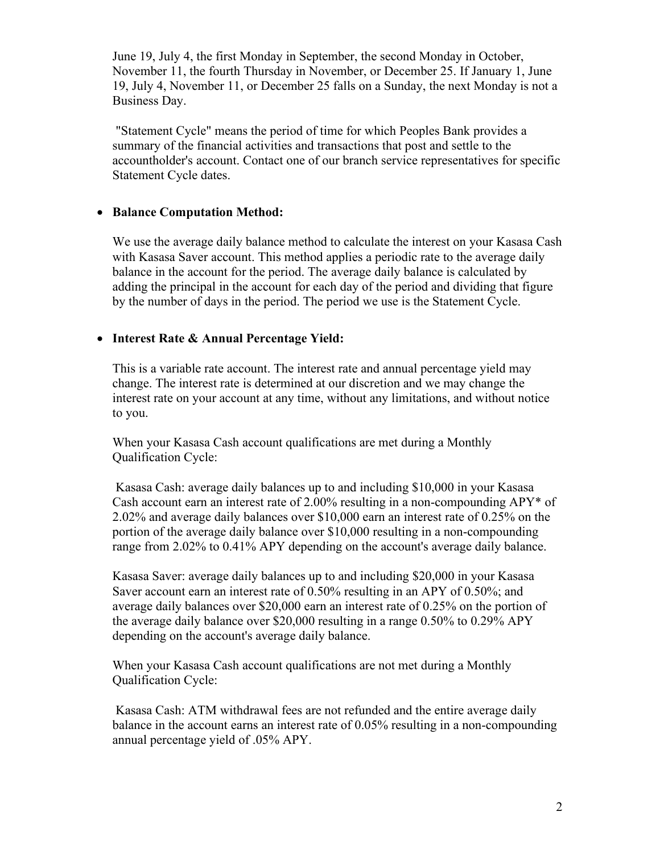June 19, July 4, the first Monday in September, the second Monday in October, November 11, the fourth Thursday in November, or December 25. If January 1, June 19, July 4, November 11, or December 25 falls on a Sunday, the next Monday is not a Business Day.

"Statement Cycle" means the period of time for which Peoples Bank provides a summary of the financial activities and transactions that post and settle to the accountholder's account. Contact one of our branch service representatives for specific Statement Cycle dates.

### • **Balance Computation Method:**

We use the average daily balance method to calculate the interest on your Kasasa Cash with Kasasa Saver account. This method applies a periodic rate to the average daily balance in the account for the period. The average daily balance is calculated by adding the principal in the account for each day of the period and dividing that figure by the number of days in the period. The period we use is the Statement Cycle.

### • **Interest Rate & Annual Percentage Yield:**

This is a variable rate account. The interest rate and annual percentage yield may change. The interest rate is determined at our discretion and we may change the interest rate on your account at any time, without any limitations, and without notice to you.

When your Kasasa Cash account qualifications are met during a Monthly Qualification Cycle:

Kasasa Cash: average daily balances up to and including \$10,000 in your Kasasa Cash account earn an interest rate of 2.00% resulting in a non-compounding APY\* of 2.02% and average daily balances over \$10,000 earn an interest rate of 0.25% on the portion of the average daily balance over \$10,000 resulting in a non-compounding range from 2.02% to 0.41% APY depending on the account's average daily balance.

Kasasa Saver: average daily balances up to and including \$20,000 in your Kasasa Saver account earn an interest rate of 0.50% resulting in an APY of 0.50%; and average daily balances over \$20,000 earn an interest rate of 0.25% on the portion of the average daily balance over \$20,000 resulting in a range 0.50% to 0.29% APY depending on the account's average daily balance.

When your Kasasa Cash account qualifications are not met during a Monthly Qualification Cycle:

Kasasa Cash: ATM withdrawal fees are not refunded and the entire average daily balance in the account earns an interest rate of 0.05% resulting in a non-compounding annual percentage yield of .05% APY.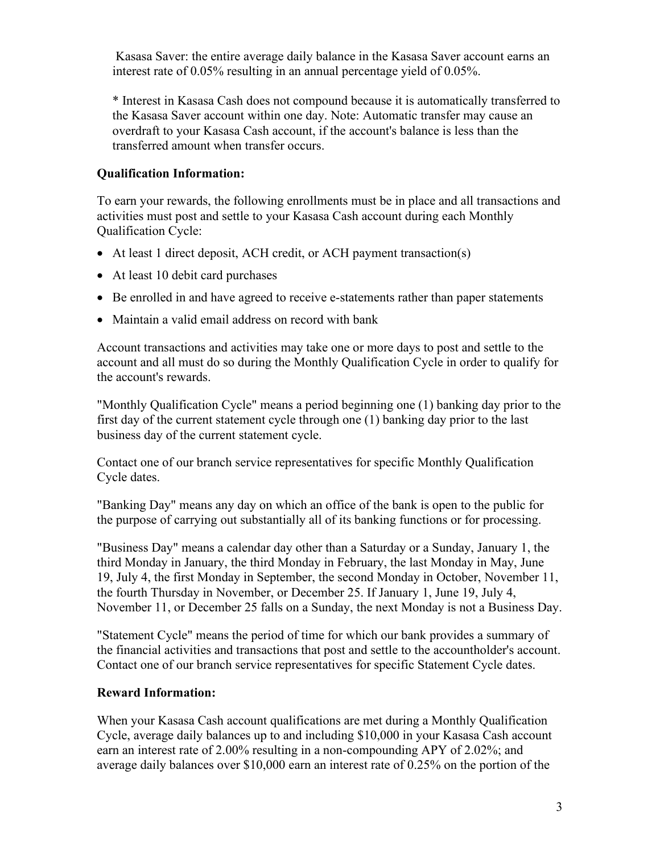Kasasa Saver: the entire average daily balance in the Kasasa Saver account earns an interest rate of 0.05% resulting in an annual percentage yield of 0.05%.

\* Interest in Kasasa Cash does not compound because it is automatically transferred to the Kasasa Saver account within one day. Note: Automatic transfer may cause an overdraft to your Kasasa Cash account, if the account's balance is less than the transferred amount when transfer occurs.

# **Qualification Information:**

To earn your rewards, the following enrollments must be in place and all transactions and activities must post and settle to your Kasasa Cash account during each Monthly Qualification Cycle:

- At least 1 direct deposit, ACH credit, or ACH payment transaction(s)
- At least 10 debit card purchases
- Be enrolled in and have agreed to receive e-statements rather than paper statements
- Maintain a valid email address on record with bank

Account transactions and activities may take one or more days to post and settle to the account and all must do so during the Monthly Qualification Cycle in order to qualify for the account's rewards.

"Monthly Qualification Cycle" means a period beginning one (1) banking day prior to the first day of the current statement cycle through one (1) banking day prior to the last business day of the current statement cycle.

Contact one of our branch service representatives for specific Monthly Qualification Cycle dates.

"Banking Day" means any day on which an office of the bank is open to the public for the purpose of carrying out substantially all of its banking functions or for processing.

"Business Day" means a calendar day other than a Saturday or a Sunday, January 1, the third Monday in January, the third Monday in February, the last Monday in May, June 19, July 4, the first Monday in September, the second Monday in October, November 11, the fourth Thursday in November, or December 25. If January 1, June 19, July 4, November 11, or December 25 falls on a Sunday, the next Monday is not a Business Day.

"Statement Cycle" means the period of time for which our bank provides a summary of the financial activities and transactions that post and settle to the accountholder's account. Contact one of our branch service representatives for specific Statement Cycle dates.

# **Reward Information:**

When your Kasasa Cash account qualifications are met during a Monthly Qualification Cycle, average daily balances up to and including \$10,000 in your Kasasa Cash account earn an interest rate of 2.00% resulting in a non-compounding APY of 2.02%; and average daily balances over \$10,000 earn an interest rate of 0.25% on the portion of the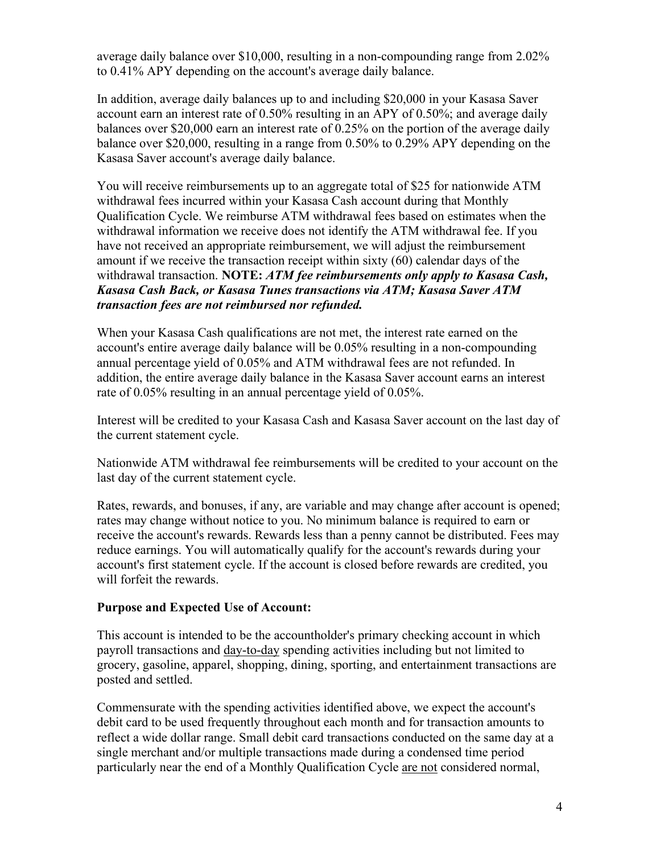average daily balance over \$10,000, resulting in a non-compounding range from 2.02% to 0.41% APY depending on the account's average daily balance.

In addition, average daily balances up to and including \$20,000 in your Kasasa Saver account earn an interest rate of 0.50% resulting in an APY of 0.50%; and average daily balances over \$20,000 earn an interest rate of 0.25% on the portion of the average daily balance over \$20,000, resulting in a range from 0.50% to 0.29% APY depending on the Kasasa Saver account's average daily balance.

You will receive reimbursements up to an aggregate total of \$25 for nationwide ATM withdrawal fees incurred within your Kasasa Cash account during that Monthly Qualification Cycle. We reimburse ATM withdrawal fees based on estimates when the withdrawal information we receive does not identify the ATM withdrawal fee. If you have not received an appropriate reimbursement, we will adjust the reimbursement amount if we receive the transaction receipt within sixty (60) calendar days of the withdrawal transaction. **NOTE:** *ATM fee reimbursements only apply to Kasasa Cash, Kasasa Cash Back, or Kasasa Tunes transactions via ATM; Kasasa Saver ATM transaction fees are not reimbursed nor refunded.*

When your Kasasa Cash qualifications are not met, the interest rate earned on the account's entire average daily balance will be 0.05% resulting in a non-compounding annual percentage yield of 0.05% and ATM withdrawal fees are not refunded. In addition, the entire average daily balance in the Kasasa Saver account earns an interest rate of 0.05% resulting in an annual percentage yield of 0.05%.

Interest will be credited to your Kasasa Cash and Kasasa Saver account on the last day of the current statement cycle.

Nationwide ATM withdrawal fee reimbursements will be credited to your account on the last day of the current statement cycle.

Rates, rewards, and bonuses, if any, are variable and may change after account is opened; rates may change without notice to you. No minimum balance is required to earn or receive the account's rewards. Rewards less than a penny cannot be distributed. Fees may reduce earnings. You will automatically qualify for the account's rewards during your account's first statement cycle. If the account is closed before rewards are credited, you will forfeit the rewards.

#### **Purpose and Expected Use of Account:**

This account is intended to be the accountholder's primary checking account in which payroll transactions and day-to-day spending activities including but not limited to grocery, gasoline, apparel, shopping, dining, sporting, and entertainment transactions are posted and settled.

Commensurate with the spending activities identified above, we expect the account's debit card to be used frequently throughout each month and for transaction amounts to reflect a wide dollar range. Small debit card transactions conducted on the same day at a single merchant and/or multiple transactions made during a condensed time period particularly near the end of a Monthly Qualification Cycle are not considered normal,